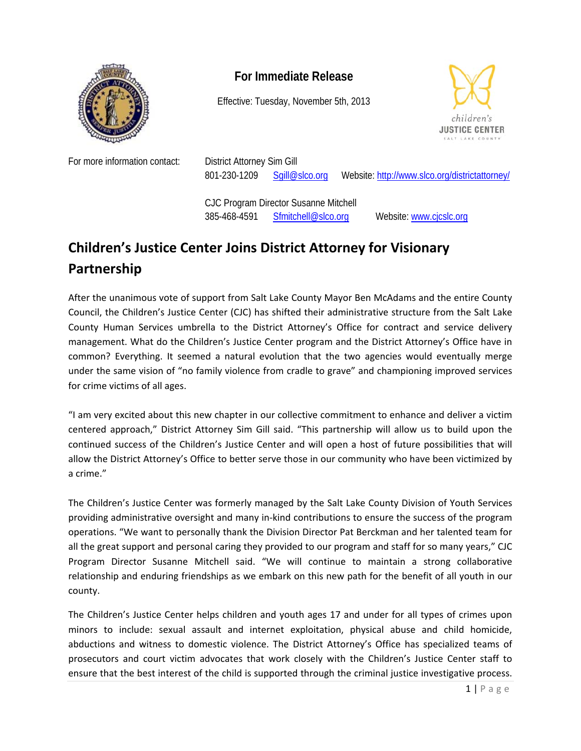

## **For Immediate Release**

Effective: Tuesday, November 5th, 2013



For more information contact: District Attorney Sim Gill

801-230-1209 Sgill@slco.org Website: http://www.slco.org/districtattorney/

 CJC Program Director Susanne Mitchell 385-468-4591 Sfmitchell@slco.org Website: www.cjcslc.org

## **Children's Justice Center Joins District Attorney for Visionary Partnership**

After the unanimous vote of support from Salt Lake County Mayor Ben McAdams and the entire County Council, the Children's Justice Center (CJC) has shifted their administrative structure from the Salt Lake County Human Services umbrella to the District Attorney's Office for contract and service delivery management. What do the Children's Justice Center program and the District Attorney's Office have in common? Everything. It seemed a natural evolution that the two agencies would eventually merge under the same vision of "no family violence from cradle to grave" and championing improved services for crime victims of all ages.

"I am very excited about this new chapter in our collective commitment to enhance and deliver a victim centered approach," District Attorney Sim Gill said. "This partnership will allow us to build upon the continued success of the Children's Justice Center and will open a host of future possibilities that will allow the District Attorney's Office to better serve those in our community who have been victimized by a crime."

The Children's Justice Center was formerly managed by the Salt Lake County Division of Youth Services providing administrative oversight and many in‐kind contributions to ensure the success of the program operations. "We want to personally thank the Division Director Pat Berckman and her talented team for all the great support and personal caring they provided to our program and staff for so many years," CJC Program Director Susanne Mitchell said. "We will continue to maintain a strong collaborative relationship and enduring friendships as we embark on this new path for the benefit of all youth in our county.

The Children's Justice Center helps children and youth ages 17 and under for all types of crimes upon minors to include: sexual assault and internet exploitation, physical abuse and child homicide, abductions and witness to domestic violence. The District Attorney's Office has specialized teams of prosecutors and court victim advocates that work closely with the Children's Justice Center staff to ensure that the best interest of the child is supported through the criminal justice investigative process.